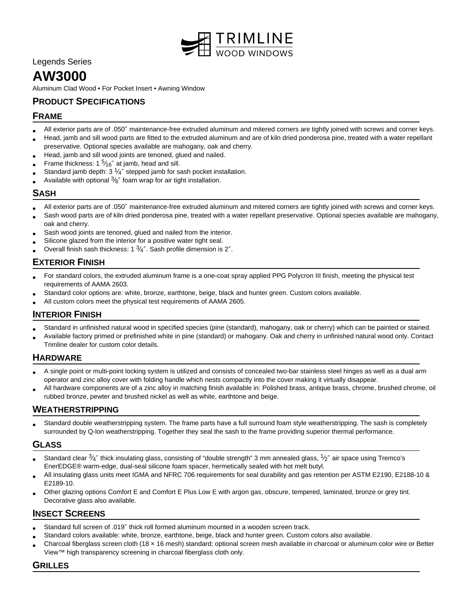

Legends Series

# **AW3000**

Aluminum Clad Wood • For Pocket Insert • Awning Window

# **PRODUCT SPECIFICATIONS**

## **FRAME**

- All exterior parts are of .050″ maintenance-free extruded aluminum and mitered corners are tightly joined with screws and corner keys.
- Head, jamb and sill wood parts are fitted to the extruded aluminum and are of kiln dried ponderosa pine, treated with a water repellant preservative. Optional species available are mahogany, oak and cherry.
- Head, jamb and sill wood joints are tenoned, glued and nailed.
- Frame thickness: 1 $\frac{5}{16}$ " at jamb, head and sill.
- Standard jamb depth:  $3\frac{1}{4}$ " stepped jamb for sash pocket installation.
- Available with optional  $3/8$ " foam wrap for air tight installation.

## **SASH**

- All exterior parts are of .050″ maintenance-free extruded aluminum and mitered corners are tightly joined with screws and corner keys.
- Sash wood parts are of kiln dried ponderosa pine, treated with a water repellant preservative. Optional species available are mahogany, oak and cherry.
- Sash wood joints are tenoned, glued and nailed from the interior.
- Silicone glazed from the interior for a positive water tight seal.
- Overall finish sash thickness: 1  $\frac{3}{4}$ ". Sash profile dimension is 2".

## **EXTERIOR FINISH**

- For standard colors, the extruded aluminum frame is a one-coat spray applied PPG Polycron III finish, meeting the physical test requirements of AAMA 2603.
- Standard color options are: white, bronze, earthtone, beige, black and hunter green. Custom colors available.
- All custom colors meet the physical test requirements of AAMA 2605.

## **INTERIOR FINISH**

- Standard in unfinished natural wood in specified species (pine (standard), mahogany, oak or cherry) which can be painted or stained.
- Available factory primed or prefinished white in pine (standard) or mahogany. Oak and cherry in unfinished natural wood only. Contact Trimline dealer for custom color details.

#### **HARDWARE**

- A single point or multi-point locking system is utilized and consists of concealed two-bar stainless steel hinges as well as a dual arm operator and zinc alloy cover with folding handle which nests compactly into the cover making it virtually disappear.
- All hardware components are of a zinc alloy in matching finish available in: Polished brass, antique brass, chrome, brushed chrome, oil rubbed bronze, pewter and brushed nickel as well as white, earthtone and beige.

## **WEATHERSTRIPPING**

• Standard double weatherstripping system. The frame parts have a full surround foam style weatherstripping. The sash is completely surrounded by Q-lon weatherstripping. Together they seal the sash to the frame providing superior thermal performance.

#### **GLASS**

- Standard clear  $34$ " thick insulating glass, consisting of "double strength" 3 mm annealed glass,  $1/2$ " air space using Tremco's EnerEDGE® warm-edge, dual-seal silicone foam spacer, hermetically sealed with hot melt butyl.
- All insulating glass units meet IGMA and NFRC 706 requirements for seal durability and gas retention per ASTM E2190, E2188-10 & E2189-10.
- Other glazing options Comfort E and Comfort E Plus Low E with argon gas, obscure, tempered, laminated, bronze or grey tint. Decorative glass also available.

## **INSECT SCREENS**

- Standard full screen of .019″ thick roll formed aluminum mounted in a wooden screen track.
- Standard colors available: white, bronze, earthtone, beige, black and hunter green. Custom colors also available.
- Charcoal fiberglass screen cloth (18 × 16 mesh) standard; optional screen mesh available in charcoal or aluminum color wire or Better View™ high transparency screening in charcoal fiberglass cloth only.

## **GRILLES**